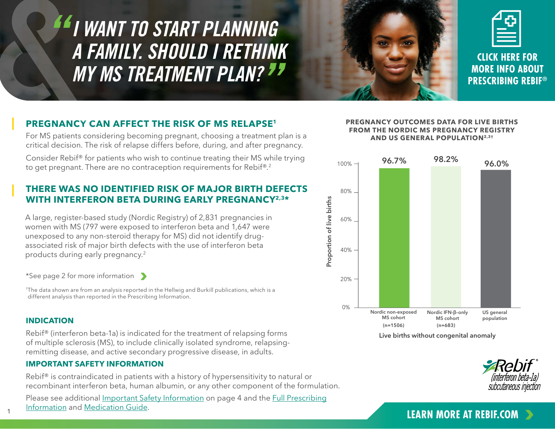<span id="page-0-0"></span>*I WANT TO START PLANNING A FAMILY. SHOULD I RETHINK MY MS TREATMENT PLAN?*



**CLICK HERE FOR MORE INFO ABOUT [PRESCRIBING REBIF®](https://www.rebif.com/hcp/home/resources/prescribing-support.html)**

## **PREGNANCY CAN AFFECT THE RISK OF MS RELAPSE1**

For MS patients considering becoming pregnant, choosing a treatment plan is a critical decision. The risk of relapse differs before, during, and after pregnancy.

Consider Rebif® for patients who wish to continue treating their MS while trying to get pregnant. There are no contraception requirements for Rebif®.<sup>2</sup>

## **THERE WAS NO IDENTIFIED RISK OF MAJOR BIRTH DEFECTS WITH INTERFERON BETA DURING EARLY PREGNANCY2,3\***

A large, register-based study (Nordic Registry) of 2,831 pregnancies in women with MS (797 were exposed to interferon beta and 1,647 were unexposed to any non-steroid therapy for MS) did not identify drugassociated risk of major birth defects with the use of interferon beta products during early pregnancy.2

[\\*See page 2 for more information](#page-1-0)

† The data shown are from an analysis reported in the Hellwig and Burkill publications, which is a different analysis than reported in the Prescribing Information.

## **INDICATION**

1

Rebif® (interferon beta-1a) is indicated for the treatment of relapsing forms of multiple sclerosis (MS), to include clinically isolated syndrome, relapsingremitting disease, and active secondary progressive disease, in adults.

## **IMPORTANT SAFETY INFORMATION**

Rebif® is contraindicated in patients with a history of hypersensitivity to natural or recombinant interferon beta, human albumin, or any other component of the formulation.

Please see additional [Important Safety Information](#page-3-0) on page 4 and the [Full Prescribing](https://www.emdserono.com/us-en/pi/rebif-pi.pdf) [Information](https://www.emdserono.com/us-en/pi/rebif-pi.pdf) and [Medication Guide.](https://www.emdserono.com/us-en/pi/rebif-medguide.pdf) 

### **PREGNANCY OUTCOMES DATA FOR LIVE BIRTHS FROM THE NORDIC MS PREGNANCY REGISTRY AND US GENERAL POPULATION2,3†**



**Live births without congenital anomaly**



# **[LEARN MORE AT REBIF.COM](https://www.rebif.com/hcp/home/family-planning.html)**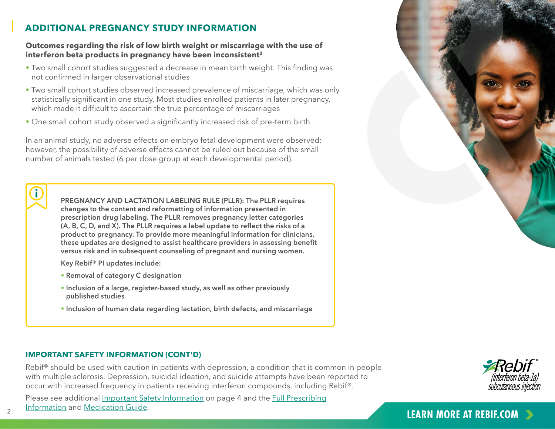# <span id="page-1-0"></span>**ADDITIONAL PREGNANCY STUDY INFORMATION**

### **Outcomes regarding the risk of low birth weight or miscarriage with the use of interferon beta products in pregnancy have been inconsistent2**

- Two small cohort studies suggested a decrease in mean birth weight. This finding was not confirmed in larger observational studies
- Two small cohort studies observed increased prevalence of miscarriage, which was only statistically significant in one study. Most studies enrolled patients in later pregnancy, which made it difficult to ascertain the true percentage of miscarriages
- One small cohort study observed a significantly increased risk of pre-term birth

In an animal study, no adverse effects on embryo fetal development were observed; however, the possibility of adverse effects cannot be ruled out because of the small number of animals tested (6 per dose group at each developmental period).



**PREGNANCY AND LACTATION LABELING RULE (PLLR): The PLLR requires changes to the content and reformatting of information presented in prescription drug labeling. The PLLR removes pregnancy letter categories (A, B, C, D, and X). The PLLR requires a label update to reflect the risks of a product to pregnancy. To provide more meaningful information for clinicians, these updates are designed to assist healthcare providers in assessing benefit versus risk and in subsequent counseling of pregnant and nursing women.**

**Key Rebif® PI updates include:**

- **Removal of category C designation**
- **• Inclusion of a large, register-based study, as well as other previously published studies**
- **Inclusion of human data regarding lactation, birth defects, and miscarriage**

## **IMPORTANT SAFETY INFORMATION (CONT'D)**

Rebif<sup>®</sup> should be used with caution in patients with depression, a condition that is common in people with multiple sclerosis. Depression, suicidal ideation, and suicide attempts have been reported to occur with increased frequency in patients receiving interferon compounds, including Rebif®.

Please see additional [Important Safety Information](#page-3-0) on page 4 and the [Full Prescribing](https://www.emdserono.com/us-en/pi/rebif-pi.pdf) [Information](https://www.emdserono.com/us-en/pi/rebif-pi.pdf) and [Medication Guide.](https://www.emdserono.com/us-en/pi/rebif-medguide.pdf)  2 **[LEARN MORE AT REBIF.COM](https://www.rebif.com/hcp/home/family-planning.html)** 



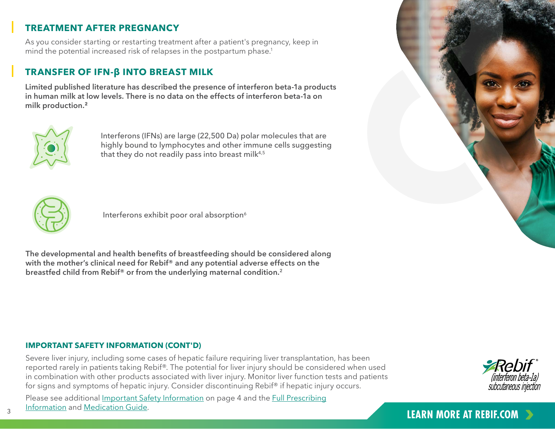# **TREATMENT AFTER PREGNANCY**

As you consider starting or restarting treatment after a patient's pregnancy, keep in mind the potential increased risk of relapses in the postpartum phase.<sup>1</sup>

# **TRANSFER OF IFN-β INTO BREAST MILK**

**Limited published literature has described the presence of interferon beta-1a products in human milk at low levels. There is no data on the effects of interferon beta-1a on milk production.<sup>2</sup>** 



Interferons (IFNs) are large (22,500 Da) polar molecules that are highly bound to lymphocytes and other immune cells suggesting that they do not readily pass into breast milk $4,5$ 



Interferons exhibit poor oral absorption<sup>6</sup>

**The developmental and health benefits of breastfeeding should be considered along with the mother's clinical need for Rebif® and any potential adverse effects on the breastfed child from Rebif® or from the underlying maternal condition.2**

## **IMPORTANT SAFETY INFORMATION (CONT'D)**

Severe liver injury, including some cases of hepatic failure requiring liver transplantation, has been reported rarely in patients taking Rebif®. The potential for liver injury should be considered when used in combination with other products associated with liver injury. Monitor liver function tests and patients for signs and symptoms of hepatic injury. Consider discontinuing Rebif® if hepatic injury occurs.

Please see additional [Important Safety Information](#page-3-0) on page 4 and the [Full Prescribing](https://www.emdserono.com/us-en/pi/rebif-pi.pdf) [Information](https://www.emdserono.com/us-en/pi/rebif-pi.pdf) and [Medication Guide.](https://www.emdserono.com/us-en/pi/rebif-medguide.pdf)  **EXAMPLE AT REBIF.COM**